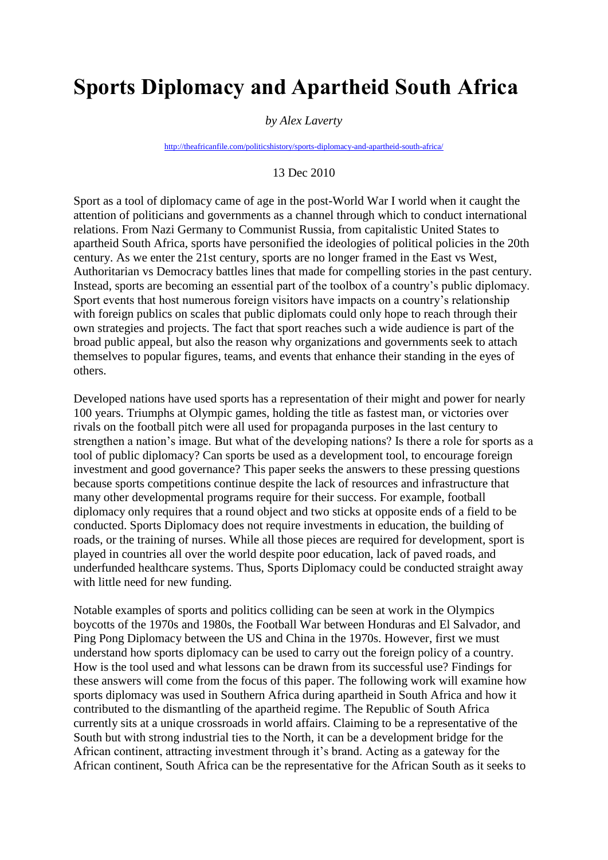# **Sports Diplomacy and Apartheid South Africa**

#### *by Alex Laverty*

<http://theafricanfile.com/politicshistory/sports-diplomacy-and-apartheid-south-africa/>

## 13 Dec 2010

Sport as a tool of diplomacy came of age in the post-World War I world when it caught the attention of politicians and governments as a channel through which to conduct international relations. From Nazi Germany to Communist Russia, from capitalistic United States to apartheid South Africa, sports have personified the ideologies of political policies in the 20th century. As we enter the 21st century, sports are no longer framed in the East vs West, Authoritarian vs Democracy battles lines that made for compelling stories in the past century. Instead, sports are becoming an essential part of the toolbox of a country's public diplomacy. Sport events that host numerous foreign visitors have impacts on a country's relationship with foreign publics on scales that public diplomats could only hope to reach through their own strategies and projects. The fact that sport reaches such a wide audience is part of the broad public appeal, but also the reason why organizations and governments seek to attach themselves to popular figures, teams, and events that enhance their standing in the eyes of others.

Developed nations have used sports has a representation of their might and power for nearly 100 years. Triumphs at Olympic games, holding the title as fastest man, or victories over rivals on the football pitch were all used for propaganda purposes in the last century to strengthen a nation's image. But what of the developing nations? Is there a role for sports as a tool of public diplomacy? Can sports be used as a development tool, to encourage foreign investment and good governance? This paper seeks the answers to these pressing questions because sports competitions continue despite the lack of resources and infrastructure that many other developmental programs require for their success. For example, football diplomacy only requires that a round object and two sticks at opposite ends of a field to be conducted. Sports Diplomacy does not require investments in education, the building of roads, or the training of nurses. While all those pieces are required for development, sport is played in countries all over the world despite poor education, lack of paved roads, and underfunded healthcare systems. Thus, Sports Diplomacy could be conducted straight away with little need for new funding.

Notable examples of sports and politics colliding can be seen at work in the Olympics boycotts of the 1970s and 1980s, the Football War between Honduras and El Salvador, and Ping Pong Diplomacy between the US and China in the 1970s. However, first we must understand how sports diplomacy can be used to carry out the foreign policy of a country. How is the tool used and what lessons can be drawn from its successful use? Findings for these answers will come from the focus of this paper. The following work will examine how sports diplomacy was used in Southern Africa during apartheid in South Africa and how it contributed to the dismantling of the apartheid regime. The Republic of South Africa currently sits at a unique crossroads in world affairs. Claiming to be a representative of the South but with strong industrial ties to the North, it can be a development bridge for the African continent, attracting investment through it's brand. Acting as a gateway for the African continent, South Africa can be the representative for the African South as it seeks to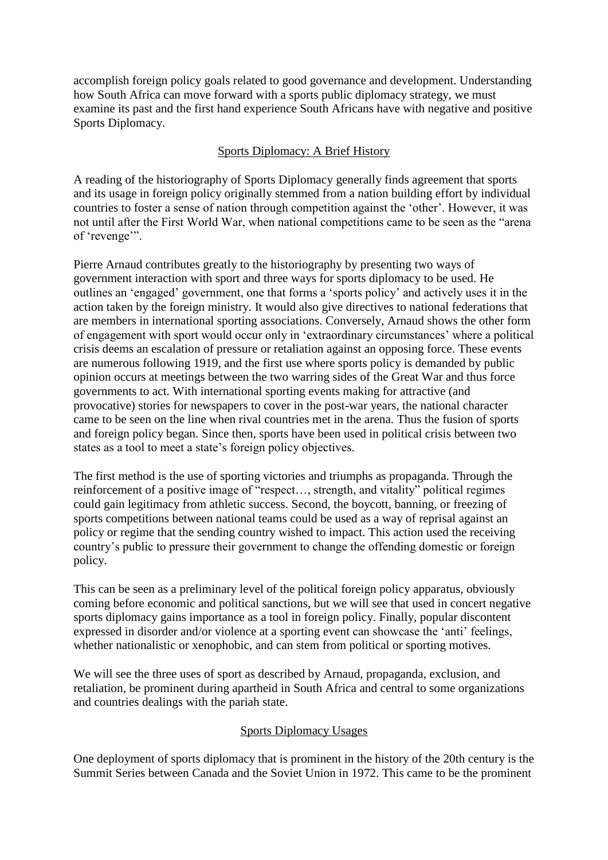accomplish foreign policy goals related to good governance and development. Understanding how South Africa can move forward with a sports public diplomacy strategy, we must examine its past and the first hand experience South Africans have with negative and positive Sports Diplomacy.

# Sports Diplomacy: A Brief History

A reading of the historiography of Sports Diplomacy generally finds agreement that sports and its usage in foreign policy originally stemmed from a nation building effort by individual countries to foster a sense of nation through competition against the 'other'. However, it was not until after the First World War, when national competitions came to be seen as the "arena of 'revenge'".

Pierre Arnaud contributes greatly to the historiography by presenting two ways of government interaction with sport and three ways for sports diplomacy to be used. He outlines an 'engaged' government, one that forms a 'sports policy' and actively uses it in the action taken by the foreign ministry. It would also give directives to national federations that are members in international sporting associations. Conversely, Arnaud shows the other form of engagement with sport would occur only in 'extraordinary circumstances' where a political crisis deems an escalation of pressure or retaliation against an opposing force. These events are numerous following 1919, and the first use where sports policy is demanded by public opinion occurs at meetings between the two warring sides of the Great War and thus force governments to act. With international sporting events making for attractive (and provocative) stories for newspapers to cover in the post-war years, the national character came to be seen on the line when rival countries met in the arena. Thus the fusion of sports and foreign policy began. Since then, sports have been used in political crisis between two states as a tool to meet a state's foreign policy objectives.

The first method is the use of sporting victories and triumphs as propaganda. Through the reinforcement of a positive image of "respect…, strength, and vitality" political regimes could gain legitimacy from athletic success. Second, the boycott, banning, or freezing of sports competitions between national teams could be used as a way of reprisal against an policy or regime that the sending country wished to impact. This action used the receiving country's public to pressure their government to change the offending domestic or foreign policy.

This can be seen as a preliminary level of the political foreign policy apparatus, obviously coming before economic and political sanctions, but we will see that used in concert negative sports diplomacy gains importance as a tool in foreign policy. Finally, popular discontent expressed in disorder and/or violence at a sporting event can showcase the 'anti' feelings, whether nationalistic or xenophobic, and can stem from political or sporting motives.

We will see the three uses of sport as described by Arnaud, propaganda, exclusion, and retaliation, be prominent during apartheid in South Africa and central to some organizations and countries dealings with the pariah state.

# Sports Diplomacy Usages

One deployment of sports diplomacy that is prominent in the history of the 20th century is the Summit Series between Canada and the Soviet Union in 1972. This came to be the prominent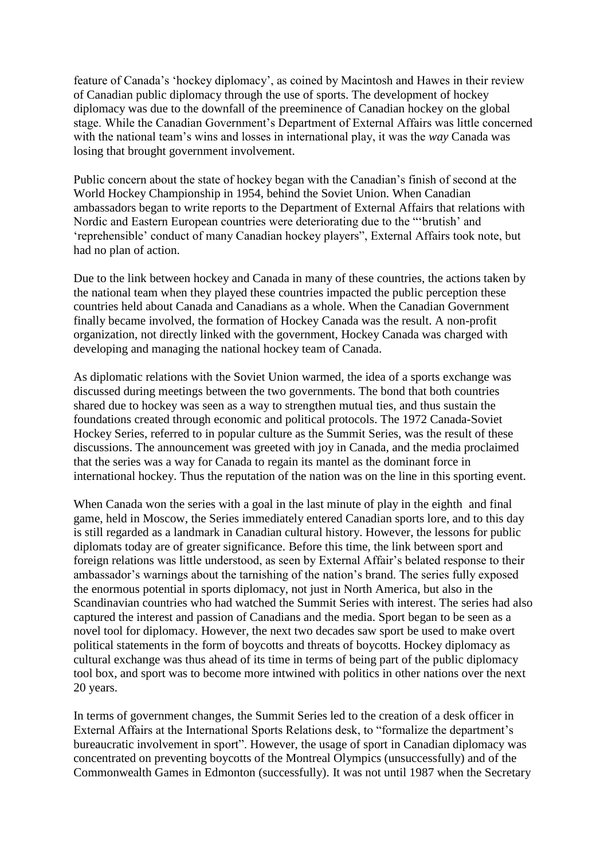feature of Canada's 'hockey diplomacy', as coined by Macintosh and Hawes in their review of Canadian public diplomacy through the use of sports. The development of hockey diplomacy was due to the downfall of the preeminence of Canadian hockey on the global stage. While the Canadian Government's Department of External Affairs was little concerned with the national team's wins and losses in international play, it was the *way* Canada was losing that brought government involvement.

Public concern about the state of hockey began with the Canadian's finish of second at the World Hockey Championship in 1954, behind the Soviet Union. When Canadian ambassadors began to write reports to the Department of External Affairs that relations with Nordic and Eastern European countries were deteriorating due to the "'brutish' and 'reprehensible' conduct of many Canadian hockey players", External Affairs took note, but had no plan of action.

Due to the link between hockey and Canada in many of these countries, the actions taken by the national team when they played these countries impacted the public perception these countries held about Canada and Canadians as a whole. When the Canadian Government finally became involved, the formation of Hockey Canada was the result. A non-profit organization, not directly linked with the government, Hockey Canada was charged with developing and managing the national hockey team of Canada.

As diplomatic relations with the Soviet Union warmed, the idea of a sports exchange was discussed during meetings between the two governments. The bond that both countries shared due to hockey was seen as a way to strengthen mutual ties, and thus sustain the foundations created through economic and political protocols. The 1972 Canada-Soviet Hockey Series, referred to in popular culture as the Summit Series, was the result of these discussions. The announcement was greeted with joy in Canada, and the media proclaimed that the series was a way for Canada to regain its mantel as the dominant force in international hockey. Thus the reputation of the nation was on the line in this sporting event.

When Canada won the series with a goal in the last minute of play in the eighth and final game, held in Moscow, the Series immediately entered Canadian sports lore, and to this day is still regarded as a landmark in Canadian cultural history. However, the lessons for public diplomats today are of greater significance. Before this time, the link between sport and foreign relations was little understood, as seen by External Affair's belated response to their ambassador's warnings about the tarnishing of the nation's brand. The series fully exposed the enormous potential in sports diplomacy, not just in North America, but also in the Scandinavian countries who had watched the Summit Series with interest. The series had also captured the interest and passion of Canadians and the media. Sport began to be seen as a novel tool for diplomacy. However, the next two decades saw sport be used to make overt political statements in the form of boycotts and threats of boycotts. Hockey diplomacy as cultural exchange was thus ahead of its time in terms of being part of the public diplomacy tool box, and sport was to become more intwined with politics in other nations over the next 20 years.

In terms of government changes, the Summit Series led to the creation of a desk officer in External Affairs at the International Sports Relations desk, to "formalize the department's bureaucratic involvement in sport". However, the usage of sport in Canadian diplomacy was concentrated on preventing boycotts of the Montreal Olympics (unsuccessfully) and of the Commonwealth Games in Edmonton (successfully). It was not until 1987 when the Secretary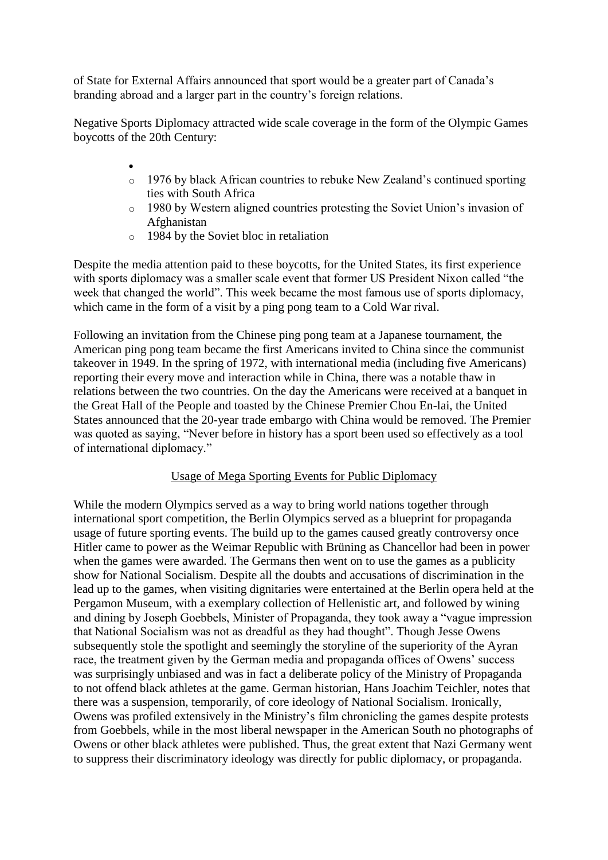of State for External Affairs announced that sport would be a greater part of Canada's branding abroad and a larger part in the country's foreign relations.

Negative Sports Diplomacy attracted wide scale coverage in the form of the Olympic Games boycotts of the 20th Century:

- $\bullet$ o 1976 by black African countries to rebuke New Zealand's continued sporting ties with South Africa
- o 1980 by Western aligned countries protesting the Soviet Union's invasion of Afghanistan
- o 1984 by the Soviet bloc in retaliation

Despite the media attention paid to these boycotts, for the United States, its first experience with sports diplomacy was a smaller scale event that former US President Nixon called "the week that changed the world". This week became the most famous use of sports diplomacy, which came in the form of a visit by a ping pong team to a Cold War rival.

Following an invitation from the Chinese ping pong team at a Japanese tournament, the American ping pong team became the first Americans invited to China since the communist takeover in 1949. In the spring of 1972, with international media (including five Americans) reporting their every move and interaction while in China, there was a notable thaw in relations between the two countries. On the day the Americans were received at a banquet in the Great Hall of the People and toasted by the Chinese Premier Chou En-lai, the United States announced that the 20-year trade embargo with China would be removed. The Premier was quoted as saying, "Never before in history has a sport been used so effectively as a tool of international diplomacy."

# Usage of Mega Sporting Events for Public Diplomacy

While the modern Olympics served as a way to bring world nations together through international sport competition, the Berlin Olympics served as a blueprint for propaganda usage of future sporting events. The build up to the games caused greatly controversy once Hitler came to power as the Weimar Republic with Brüning as Chancellor had been in power when the games were awarded. The Germans then went on to use the games as a publicity show for National Socialism. Despite all the doubts and accusations of discrimination in the lead up to the games, when visiting dignitaries were entertained at the Berlin opera held at the Pergamon Museum, with a exemplary collection of Hellenistic art, and followed by wining and dining by Joseph Goebbels, Minister of Propaganda, they took away a "vague impression that National Socialism was not as dreadful as they had thought". Though Jesse Owens subsequently stole the spotlight and seemingly the storyline of the superiority of the Ayran race, the treatment given by the German media and propaganda offices of Owens' success was surprisingly unbiased and was in fact a deliberate policy of the Ministry of Propaganda to not offend black athletes at the game. German historian, Hans Joachim Teichler, notes that there was a suspension, temporarily, of core ideology of National Socialism. Ironically, Owens was profiled extensively in the Ministry's film chronicling the games despite protests from Goebbels, while in the most liberal newspaper in the American South no photographs of Owens or other black athletes were published. Thus, the great extent that Nazi Germany went to suppress their discriminatory ideology was directly for public diplomacy, or propaganda.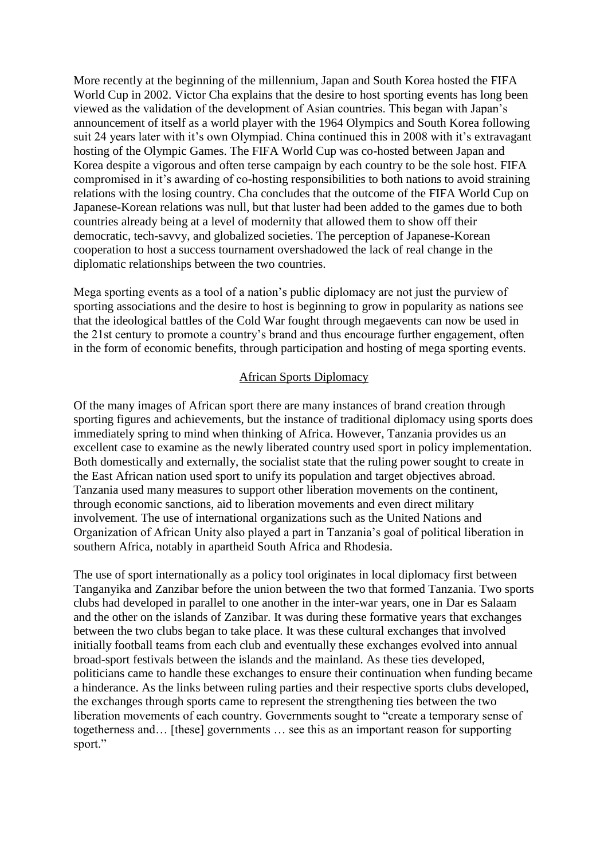More recently at the beginning of the millennium, Japan and South Korea hosted the FIFA World Cup in 2002. Victor Cha explains that the desire to host sporting events has long been viewed as the validation of the development of Asian countries. This began with Japan's announcement of itself as a world player with the 1964 Olympics and South Korea following suit 24 years later with it's own Olympiad. China continued this in 2008 with it's extravagant hosting of the Olympic Games. The FIFA World Cup was co-hosted between Japan and Korea despite a vigorous and often terse campaign by each country to be the sole host. FIFA compromised in it's awarding of co-hosting responsibilities to both nations to avoid straining relations with the losing country. Cha concludes that the outcome of the FIFA World Cup on Japanese-Korean relations was null, but that luster had been added to the games due to both countries already being at a level of modernity that allowed them to show off their democratic, tech-savvy, and globalized societies. The perception of Japanese-Korean cooperation to host a success tournament overshadowed the lack of real change in the diplomatic relationships between the two countries.

Mega sporting events as a tool of a nation's public diplomacy are not just the purview of sporting associations and the desire to host is beginning to grow in popularity as nations see that the ideological battles of the Cold War fought through megaevents can now be used in the 21st century to promote a country's brand and thus encourage further engagement, often in the form of economic benefits, through participation and hosting of mega sporting events.

### African Sports Diplomacy

Of the many images of African sport there are many instances of brand creation through sporting figures and achievements, but the instance of traditional diplomacy using sports does immediately spring to mind when thinking of Africa. However, Tanzania provides us an excellent case to examine as the newly liberated country used sport in policy implementation. Both domestically and externally, the socialist state that the ruling power sought to create in the East African nation used sport to unify its population and target objectives abroad. Tanzania used many measures to support other liberation movements on the continent, through economic sanctions, aid to liberation movements and even direct military involvement. The use of international organizations such as the United Nations and Organization of African Unity also played a part in Tanzania's goal of political liberation in southern Africa, notably in apartheid South Africa and Rhodesia.

The use of sport internationally as a policy tool originates in local diplomacy first between Tanganyika and Zanzibar before the union between the two that formed Tanzania. Two sports clubs had developed in parallel to one another in the inter-war years, one in Dar es Salaam and the other on the islands of Zanzibar. It was during these formative years that exchanges between the two clubs began to take place. It was these cultural exchanges that involved initially football teams from each club and eventually these exchanges evolved into annual broad-sport festivals between the islands and the mainland. As these ties developed, politicians came to handle these exchanges to ensure their continuation when funding became a hinderance. As the links between ruling parties and their respective sports clubs developed, the exchanges through sports came to represent the strengthening ties between the two liberation movements of each country. Governments sought to "create a temporary sense of togetherness and… [these] governments … see this as an important reason for supporting sport."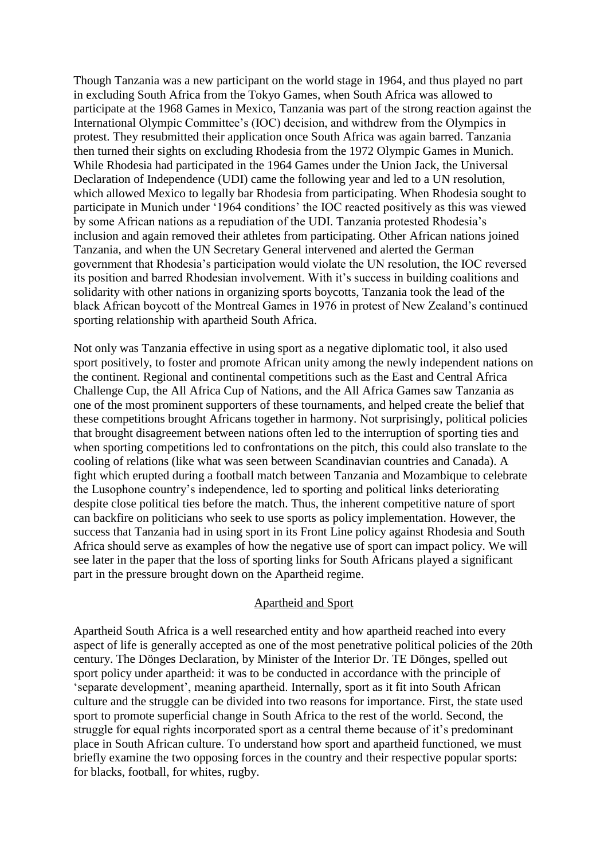Though Tanzania was a new participant on the world stage in 1964, and thus played no part in excluding South Africa from the Tokyo Games, when South Africa was allowed to participate at the 1968 Games in Mexico, Tanzania was part of the strong reaction against the International Olympic Committee's (IOC) decision, and withdrew from the Olympics in protest. They resubmitted their application once South Africa was again barred. Tanzania then turned their sights on excluding Rhodesia from the 1972 Olympic Games in Munich. While Rhodesia had participated in the 1964 Games under the Union Jack, the Universal Declaration of Independence (UDI) came the following year and led to a UN resolution, which allowed Mexico to legally bar Rhodesia from participating. When Rhodesia sought to participate in Munich under '1964 conditions' the IOC reacted positively as this was viewed by some African nations as a repudiation of the UDI. Tanzania protested Rhodesia's inclusion and again removed their athletes from participating. Other African nations joined Tanzania, and when the UN Secretary General intervened and alerted the German government that Rhodesia's participation would violate the UN resolution, the IOC reversed its position and barred Rhodesian involvement. With it's success in building coalitions and solidarity with other nations in organizing sports boycotts, Tanzania took the lead of the black African boycott of the Montreal Games in 1976 in protest of New Zealand's continued sporting relationship with apartheid South Africa.

Not only was Tanzania effective in using sport as a negative diplomatic tool, it also used sport positively, to foster and promote African unity among the newly independent nations on the continent. Regional and continental competitions such as the East and Central Africa Challenge Cup, the All Africa Cup of Nations, and the All Africa Games saw Tanzania as one of the most prominent supporters of these tournaments, and helped create the belief that these competitions brought Africans together in harmony. Not surprisingly, political policies that brought disagreement between nations often led to the interruption of sporting ties and when sporting competitions led to confrontations on the pitch, this could also translate to the cooling of relations (like what was seen between Scandinavian countries and Canada). A fight which erupted during a football match between Tanzania and Mozambique to celebrate the Lusophone country's independence, led to sporting and political links deteriorating despite close political ties before the match. Thus, the inherent competitive nature of sport can backfire on politicians who seek to use sports as policy implementation. However, the success that Tanzania had in using sport in its Front Line policy against Rhodesia and South Africa should serve as examples of how the negative use of sport can impact policy. We will see later in the paper that the loss of sporting links for South Africans played a significant part in the pressure brought down on the Apartheid regime.

#### Apartheid and Sport

Apartheid South Africa is a well researched entity and how apartheid reached into every aspect of life is generally accepted as one of the most penetrative political policies of the 20th century. The Dönges Declaration, by Minister of the Interior Dr. TE Dönges, spelled out sport policy under apartheid: it was to be conducted in accordance with the principle of 'separate development', meaning apartheid. Internally, sport as it fit into South African culture and the struggle can be divided into two reasons for importance. First, the state used sport to promote superficial change in South Africa to the rest of the world. Second, the struggle for equal rights incorporated sport as a central theme because of it's predominant place in South African culture. To understand how sport and apartheid functioned, we must briefly examine the two opposing forces in the country and their respective popular sports: for blacks, football, for whites, rugby.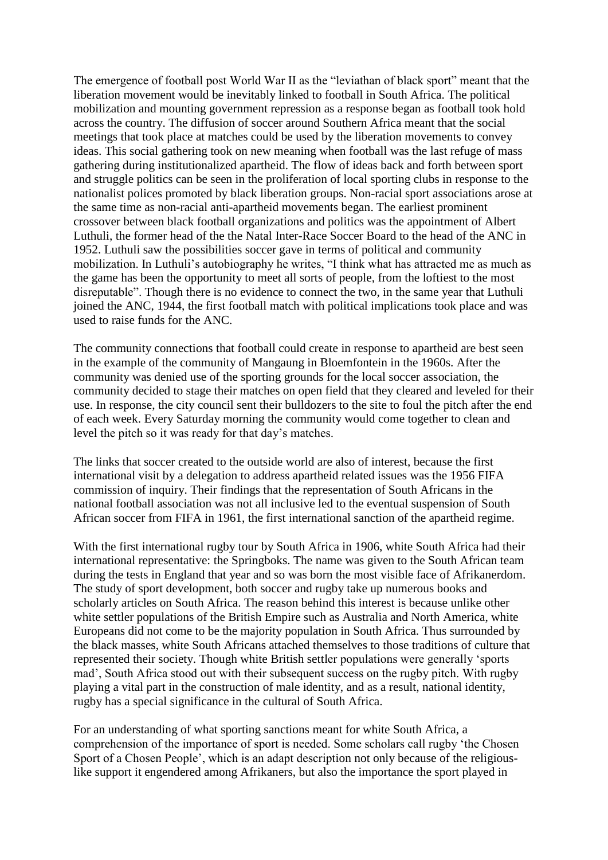The emergence of football post World War II as the "leviathan of black sport" meant that the liberation movement would be inevitably linked to football in South Africa. The political mobilization and mounting government repression as a response began as football took hold across the country. The diffusion of soccer around Southern Africa meant that the social meetings that took place at matches could be used by the liberation movements to convey ideas. This social gathering took on new meaning when football was the last refuge of mass gathering during institutionalized apartheid. The flow of ideas back and forth between sport and struggle politics can be seen in the proliferation of local sporting clubs in response to the nationalist polices promoted by black liberation groups. Non-racial sport associations arose at the same time as non-racial anti-apartheid movements began. The earliest prominent crossover between black football organizations and politics was the appointment of Albert Luthuli, the former head of the the Natal Inter-Race Soccer Board to the head of the ANC in 1952. Luthuli saw the possibilities soccer gave in terms of political and community mobilization. In Luthuli's autobiography he writes, "I think what has attracted me as much as the game has been the opportunity to meet all sorts of people, from the loftiest to the most disreputable". Though there is no evidence to connect the two, in the same year that Luthuli joined the ANC, 1944, the first football match with political implications took place and was used to raise funds for the ANC.

The community connections that football could create in response to apartheid are best seen in the example of the community of Mangaung in Bloemfontein in the 1960s. After the community was denied use of the sporting grounds for the local soccer association, the community decided to stage their matches on open field that they cleared and leveled for their use. In response, the city council sent their bulldozers to the site to foul the pitch after the end of each week. Every Saturday morning the community would come together to clean and level the pitch so it was ready for that day's matches.

The links that soccer created to the outside world are also of interest, because the first international visit by a delegation to address apartheid related issues was the 1956 FIFA commission of inquiry. Their findings that the representation of South Africans in the national football association was not all inclusive led to the eventual suspension of South African soccer from FIFA in 1961, the first international sanction of the apartheid regime.

With the first international rugby tour by South Africa in 1906, white South Africa had their international representative: the Springboks. The name was given to the South African team during the tests in England that year and so was born the most visible face of Afrikanerdom. The study of sport development, both soccer and rugby take up numerous books and scholarly articles on South Africa. The reason behind this interest is because unlike other white settler populations of the British Empire such as Australia and North America, white Europeans did not come to be the majority population in South Africa. Thus surrounded by the black masses, white South Africans attached themselves to those traditions of culture that represented their society. Though white British settler populations were generally 'sports mad', South Africa stood out with their subsequent success on the rugby pitch. With rugby playing a vital part in the construction of male identity, and as a result, national identity, rugby has a special significance in the cultural of South Africa.

For an understanding of what sporting sanctions meant for white South Africa, a comprehension of the importance of sport is needed. Some scholars call rugby 'the Chosen Sport of a Chosen People', which is an adapt description not only because of the religiouslike support it engendered among Afrikaners, but also the importance the sport played in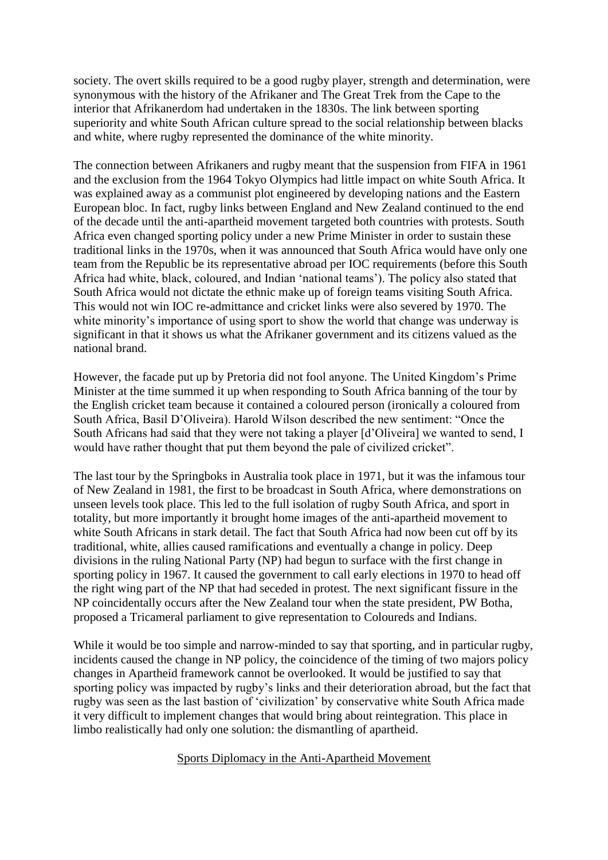society. The overt skills required to be a good rugby player, strength and determination, were synonymous with the history of the Afrikaner and The Great Trek from the Cape to the interior that Afrikanerdom had undertaken in the 1830s. The link between sporting superiority and white South African culture spread to the social relationship between blacks and white, where rugby represented the dominance of the white minority.

The connection between Afrikaners and rugby meant that the suspension from FIFA in 1961 and the exclusion from the 1964 Tokyo Olympics had little impact on white South Africa. It was explained away as a communist plot engineered by developing nations and the Eastern European bloc. In fact, rugby links between England and New Zealand continued to the end of the decade until the anti-apartheid movement targeted both countries with protests. South Africa even changed sporting policy under a new Prime Minister in order to sustain these traditional links in the 1970s, when it was announced that South Africa would have only one team from the Republic be its representative abroad per IOC requirements (before this South Africa had white, black, coloured, and Indian 'national teams'). The policy also stated that South Africa would not dictate the ethnic make up of foreign teams visiting South Africa. This would not win IOC re-admittance and cricket links were also severed by 1970. The white minority's importance of using sport to show the world that change was underway is significant in that it shows us what the Afrikaner government and its citizens valued as the national brand.

However, the facade put up by Pretoria did not fool anyone. The United Kingdom's Prime Minister at the time summed it up when responding to South Africa banning of the tour by the English cricket team because it contained a coloured person (ironically a coloured from South Africa, Basil D'Oliveira). Harold Wilson described the new sentiment: "Once the South Africans had said that they were not taking a player [d'Oliveira] we wanted to send, I would have rather thought that put them beyond the pale of civilized cricket".

The last tour by the Springboks in Australia took place in 1971, but it was the infamous tour of New Zealand in 1981, the first to be broadcast in South Africa, where demonstrations on unseen levels took place. This led to the full isolation of rugby South Africa, and sport in totality, but more importantly it brought home images of the anti-apartheid movement to white South Africans in stark detail. The fact that South Africa had now been cut off by its traditional, white, allies caused ramifications and eventually a change in policy. Deep divisions in the ruling National Party (NP) had begun to surface with the first change in sporting policy in 1967. It caused the government to call early elections in 1970 to head off the right wing part of the NP that had seceded in protest. The next significant fissure in the NP coincidentally occurs after the New Zealand tour when the state president, PW Botha, proposed a Tricameral parliament to give representation to Coloureds and Indians.

While it would be too simple and narrow-minded to say that sporting, and in particular rugby, incidents caused the change in NP policy, the coincidence of the timing of two majors policy changes in Apartheid framework cannot be overlooked. It would be justified to say that sporting policy was impacted by rugby's links and their deterioration abroad, but the fact that rugby was seen as the last bastion of 'civilization' by conservative white South Africa made it very difficult to implement changes that would bring about reintegration. This place in limbo realistically had only one solution: the dismantling of apartheid.

## Sports Diplomacy in the Anti-Apartheid Movement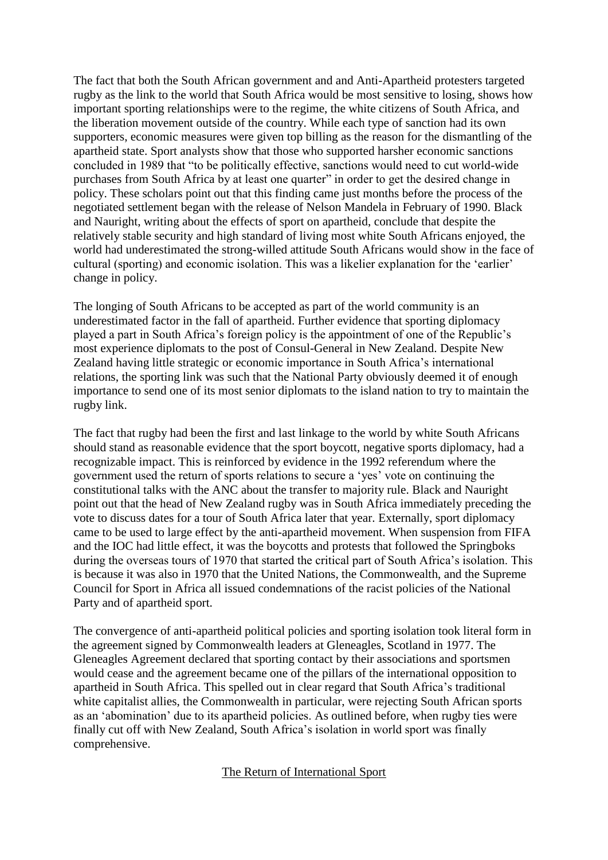The fact that both the South African government and and Anti-Apartheid protesters targeted rugby as the link to the world that South Africa would be most sensitive to losing, shows how important sporting relationships were to the regime, the white citizens of South Africa, and the liberation movement outside of the country. While each type of sanction had its own supporters, economic measures were given top billing as the reason for the dismantling of the apartheid state. Sport analysts show that those who supported harsher economic sanctions concluded in 1989 that "to be politically effective, sanctions would need to cut world-wide purchases from South Africa by at least one quarter" in order to get the desired change in policy. These scholars point out that this finding came just months before the process of the negotiated settlement began with the release of Nelson Mandela in February of 1990. Black and Nauright, writing about the effects of sport on apartheid, conclude that despite the relatively stable security and high standard of living most white South Africans enjoyed, the world had underestimated the strong-willed attitude South Africans would show in the face of cultural (sporting) and economic isolation. This was a likelier explanation for the 'earlier' change in policy.

The longing of South Africans to be accepted as part of the world community is an underestimated factor in the fall of apartheid. Further evidence that sporting diplomacy played a part in South Africa's foreign policy is the appointment of one of the Republic's most experience diplomats to the post of Consul-General in New Zealand. Despite New Zealand having little strategic or economic importance in South Africa's international relations, the sporting link was such that the National Party obviously deemed it of enough importance to send one of its most senior diplomats to the island nation to try to maintain the rugby link.

The fact that rugby had been the first and last linkage to the world by white South Africans should stand as reasonable evidence that the sport boycott, negative sports diplomacy, had a recognizable impact. This is reinforced by evidence in the 1992 referendum where the government used the return of sports relations to secure a 'yes' vote on continuing the constitutional talks with the ANC about the transfer to majority rule. Black and Nauright point out that the head of New Zealand rugby was in South Africa immediately preceding the vote to discuss dates for a tour of South Africa later that year. Externally, sport diplomacy came to be used to large effect by the anti-apartheid movement. When suspension from FIFA and the IOC had little effect, it was the boycotts and protests that followed the Springboks during the overseas tours of 1970 that started the critical part of South Africa's isolation. This is because it was also in 1970 that the United Nations, the Commonwealth, and the Supreme Council for Sport in Africa all issued condemnations of the racist policies of the National Party and of apartheid sport.

The convergence of anti-apartheid political policies and sporting isolation took literal form in the agreement signed by Commonwealth leaders at Gleneagles, Scotland in 1977. The Gleneagles Agreement declared that sporting contact by their associations and sportsmen would cease and the agreement became one of the pillars of the international opposition to apartheid in South Africa. This spelled out in clear regard that South Africa's traditional white capitalist allies, the Commonwealth in particular, were rejecting South African sports as an 'abomination' due to its apartheid policies. As outlined before, when rugby ties were finally cut off with New Zealand, South Africa's isolation in world sport was finally comprehensive.

## The Return of International Sport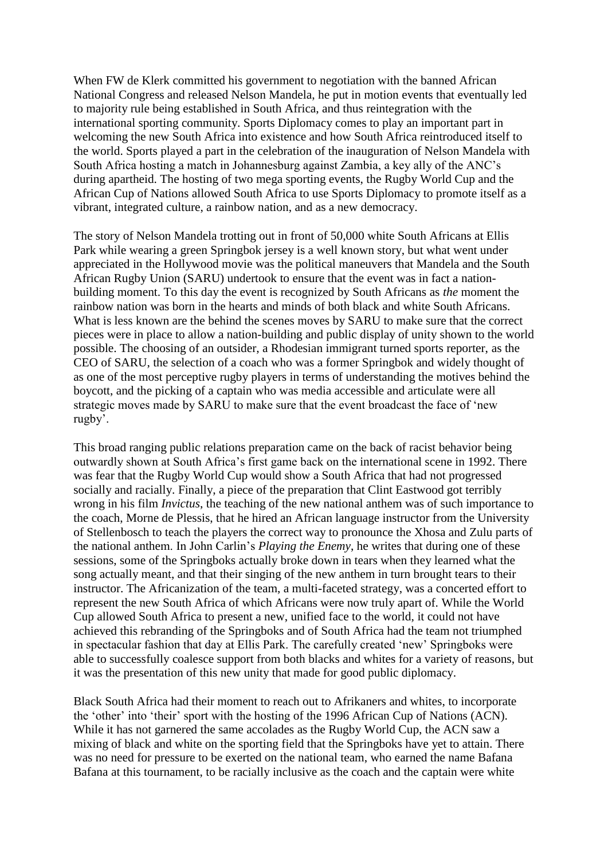When FW de Klerk committed his government to negotiation with the banned African National Congress and released Nelson Mandela, he put in motion events that eventually led to majority rule being established in South Africa, and thus reintegration with the international sporting community. Sports Diplomacy comes to play an important part in welcoming the new South Africa into existence and how South Africa reintroduced itself to the world. Sports played a part in the celebration of the inauguration of Nelson Mandela with South Africa hosting a match in Johannesburg against Zambia, a key ally of the ANC's during apartheid. The hosting of two mega sporting events, the Rugby World Cup and the African Cup of Nations allowed South Africa to use Sports Diplomacy to promote itself as a vibrant, integrated culture, a rainbow nation, and as a new democracy.

The story of Nelson Mandela trotting out in front of 50,000 white South Africans at Ellis Park while wearing a green Springbok jersey is a well known story, but what went under appreciated in the Hollywood movie was the political maneuvers that Mandela and the South African Rugby Union (SARU) undertook to ensure that the event was in fact a nationbuilding moment. To this day the event is recognized by South Africans as *the* moment the rainbow nation was born in the hearts and minds of both black and white South Africans. What is less known are the behind the scenes moves by SARU to make sure that the correct pieces were in place to allow a nation-building and public display of unity shown to the world possible. The choosing of an outsider, a Rhodesian immigrant turned sports reporter, as the CEO of SARU, the selection of a coach who was a former Springbok and widely thought of as one of the most perceptive rugby players in terms of understanding the motives behind the boycott, and the picking of a captain who was media accessible and articulate were all strategic moves made by SARU to make sure that the event broadcast the face of 'new rugby'.

This broad ranging public relations preparation came on the back of racist behavior being outwardly shown at South Africa's first game back on the international scene in 1992. There was fear that the Rugby World Cup would show a South Africa that had not progressed socially and racially. Finally, a piece of the preparation that Clint Eastwood got terribly wrong in his film *Invictus*, the teaching of the new national anthem was of such importance to the coach, Morne de Plessis, that he hired an African language instructor from the University of Stellenbosch to teach the players the correct way to pronounce the Xhosa and Zulu parts of the national anthem. In John Carlin's *Playing the Enemy*, he writes that during one of these sessions, some of the Springboks actually broke down in tears when they learned what the song actually meant, and that their singing of the new anthem in turn brought tears to their instructor. The Africanization of the team, a multi-faceted strategy, was a concerted effort to represent the new South Africa of which Africans were now truly apart of. While the World Cup allowed South Africa to present a new, unified face to the world, it could not have achieved this rebranding of the Springboks and of South Africa had the team not triumphed in spectacular fashion that day at Ellis Park. The carefully created 'new' Springboks were able to successfully coalesce support from both blacks and whites for a variety of reasons, but it was the presentation of this new unity that made for good public diplomacy.

Black South Africa had their moment to reach out to Afrikaners and whites, to incorporate the 'other' into 'their' sport with the hosting of the 1996 African Cup of Nations (ACN). While it has not garnered the same accolades as the Rugby World Cup, the ACN saw a mixing of black and white on the sporting field that the Springboks have yet to attain. There was no need for pressure to be exerted on the national team, who earned the name Bafana Bafana at this tournament, to be racially inclusive as the coach and the captain were white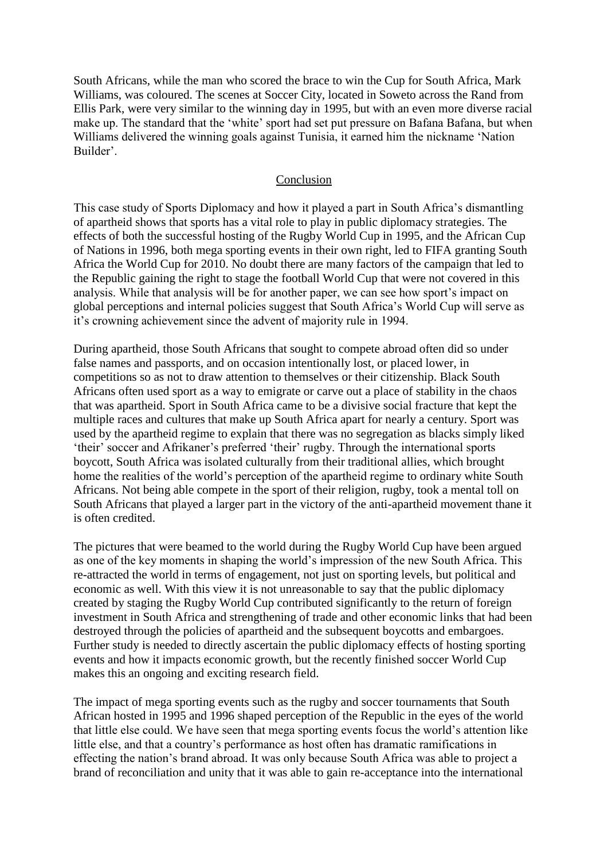South Africans, while the man who scored the brace to win the Cup for South Africa, Mark Williams, was coloured. The scenes at Soccer City, located in Soweto across the Rand from Ellis Park, were very similar to the winning day in 1995, but with an even more diverse racial make up. The standard that the 'white' sport had set put pressure on Bafana Bafana, but when Williams delivered the winning goals against Tunisia, it earned him the nickname 'Nation Builder'.

#### Conclusion

This case study of Sports Diplomacy and how it played a part in South Africa's dismantling of apartheid shows that sports has a vital role to play in public diplomacy strategies. The effects of both the successful hosting of the Rugby World Cup in 1995, and the African Cup of Nations in 1996, both mega sporting events in their own right, led to FIFA granting South Africa the World Cup for 2010. No doubt there are many factors of the campaign that led to the Republic gaining the right to stage the football World Cup that were not covered in this analysis. While that analysis will be for another paper, we can see how sport's impact on global perceptions and internal policies suggest that South Africa's World Cup will serve as it's crowning achievement since the advent of majority rule in 1994.

During apartheid, those South Africans that sought to compete abroad often did so under false names and passports, and on occasion intentionally lost, or placed lower, in competitions so as not to draw attention to themselves or their citizenship. Black South Africans often used sport as a way to emigrate or carve out a place of stability in the chaos that was apartheid. Sport in South Africa came to be a divisive social fracture that kept the multiple races and cultures that make up South Africa apart for nearly a century. Sport was used by the apartheid regime to explain that there was no segregation as blacks simply liked 'their' soccer and Afrikaner's preferred 'their' rugby. Through the international sports boycott, South Africa was isolated culturally from their traditional allies, which brought home the realities of the world's perception of the apartheid regime to ordinary white South Africans. Not being able compete in the sport of their religion, rugby, took a mental toll on South Africans that played a larger part in the victory of the anti-apartheid movement thane it is often credited.

The pictures that were beamed to the world during the Rugby World Cup have been argued as one of the key moments in shaping the world's impression of the new South Africa. This re-attracted the world in terms of engagement, not just on sporting levels, but political and economic as well. With this view it is not unreasonable to say that the public diplomacy created by staging the Rugby World Cup contributed significantly to the return of foreign investment in South Africa and strengthening of trade and other economic links that had been destroyed through the policies of apartheid and the subsequent boycotts and embargoes. Further study is needed to directly ascertain the public diplomacy effects of hosting sporting events and how it impacts economic growth, but the recently finished soccer World Cup makes this an ongoing and exciting research field.

The impact of mega sporting events such as the rugby and soccer tournaments that South African hosted in 1995 and 1996 shaped perception of the Republic in the eyes of the world that little else could. We have seen that mega sporting events focus the world's attention like little else, and that a country's performance as host often has dramatic ramifications in effecting the nation's brand abroad. It was only because South Africa was able to project a brand of reconciliation and unity that it was able to gain re-acceptance into the international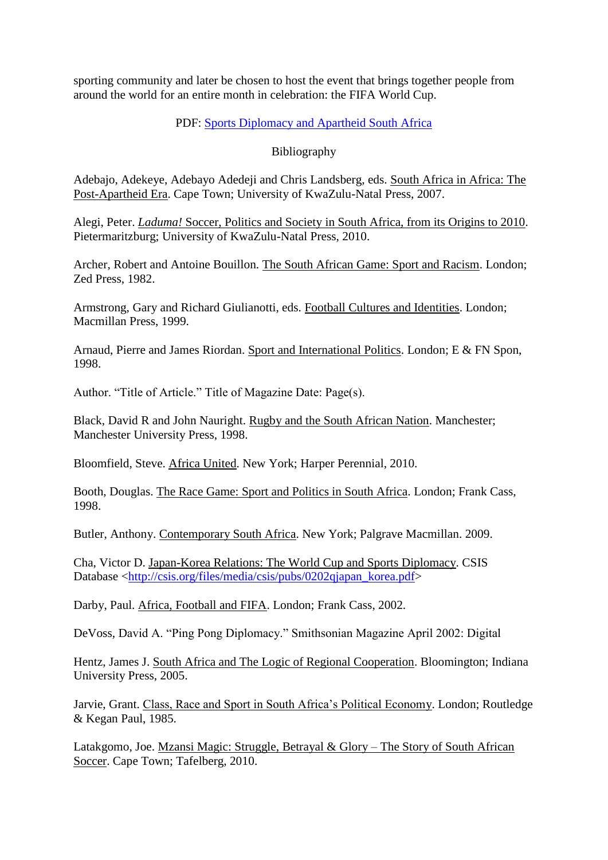sporting community and later be chosen to host the event that brings together people from around the world for an entire month in celebration: the FIFA World Cup.

# PDF: [Sports Diplomacy and Apartheid South Africa](http://theafricanfile.files.wordpress.com/2010/12/sports-diplomacy-and-apartheid-south-africa.pdf)

# Bibliography

Adebajo, Adekeye, Adebayo Adedeji and Chris Landsberg, eds. South Africa in Africa: The Post-Apartheid Era. Cape Town; University of KwaZulu-Natal Press, 2007.

Alegi, Peter. *Laduma!* Soccer, Politics and Society in South Africa, from its Origins to 2010. Pietermaritzburg; University of KwaZulu-Natal Press, 2010.

Archer, Robert and Antoine Bouillon. The South African Game: Sport and Racism. London; Zed Press, 1982.

Armstrong, Gary and Richard Giulianotti, eds. Football Cultures and Identities. London; Macmillan Press, 1999.

Arnaud, Pierre and James Riordan. Sport and International Politics. London; E & FN Spon, 1998.

Author. "Title of Article." Title of Magazine Date: Page(s).

Black, David R and John Nauright. Rugby and the South African Nation. Manchester; Manchester University Press, 1998.

Bloomfield, Steve. Africa United. New York; Harper Perennial, 2010.

Booth, Douglas. The Race Game: Sport and Politics in South Africa. London; Frank Cass, 1998.

Butler, Anthony. Contemporary South Africa. New York; Palgrave Macmillan. 2009.

Cha, Victor D. Japan-Korea Relations: The World Cup and Sports Diplomacy. CSIS Database [<http://csis.org/files/media/csis/pubs/0202qjapan\\_korea.pdf>](http://csis.org/files/media/csis/pubs/0202qjapan_korea.pdf)

Darby, Paul. Africa, Football and FIFA. London; Frank Cass, 2002.

DeVoss, David A. "Ping Pong Diplomacy." Smithsonian Magazine April 2002: Digital

Hentz, James J. South Africa and The Logic of Regional Cooperation. Bloomington; Indiana University Press, 2005.

Jarvie, Grant. Class, Race and Sport in South Africa's Political Economy. London; Routledge & Kegan Paul, 1985.

Latakgomo, Joe. Mzansi Magic: Struggle, Betrayal & Glory – The Story of South African Soccer. Cape Town; Tafelberg, 2010.